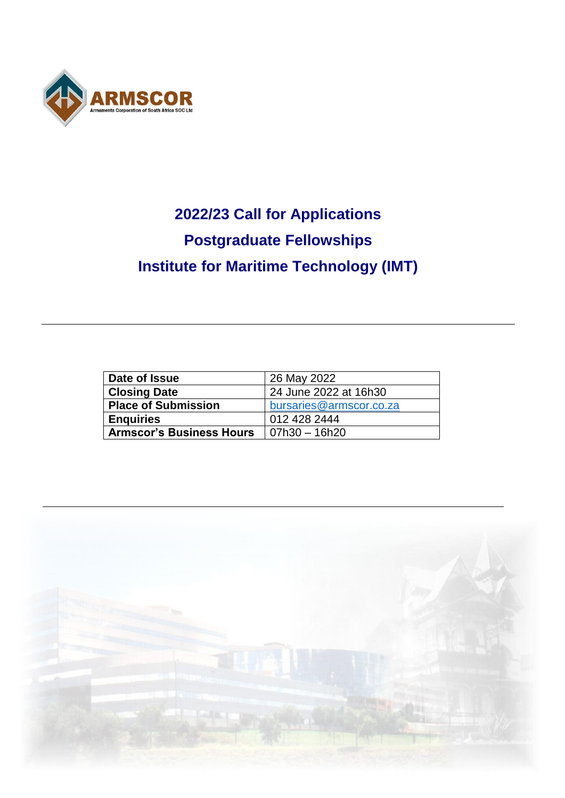

# **2022/23 Call for Applications Postgraduate Fellowships Institute for Maritime Technology (IMT)**

| Date of Issue                   | 26 May 2022             |
|---------------------------------|-------------------------|
| <b>Closing Date</b>             | 24 June 2022 at 16h30   |
| <b>Place of Submission</b>      | bursaries@armscor.co.za |
| <b>Enquiries</b>                | 012 428 2444            |
| <b>Armscor's Business Hours</b> | 07h30 - 16h20           |

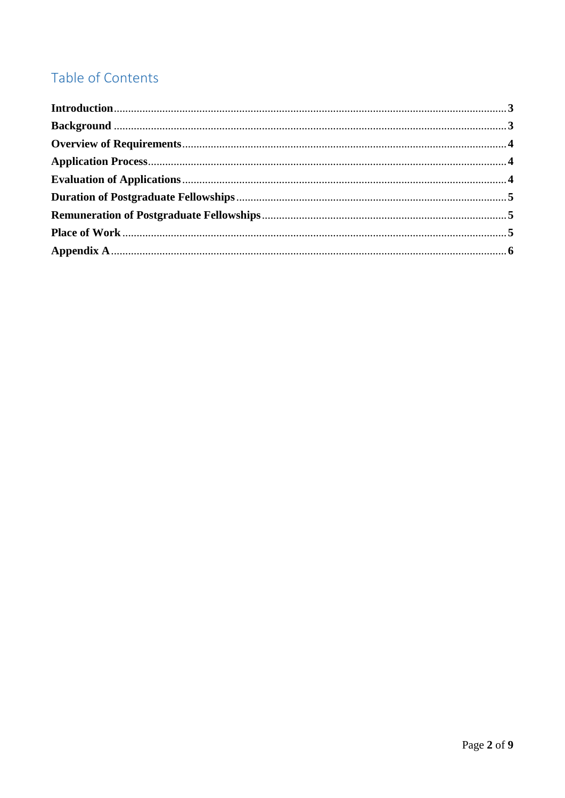## Table of Contents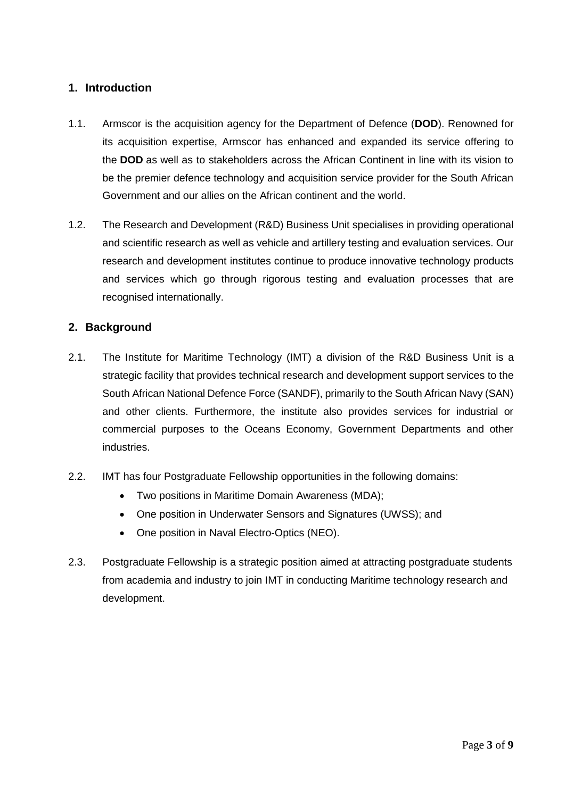#### **1. Introduction**

- 1.1. Armscor is the acquisition agency for the Department of Defence (**DOD**). Renowned for its acquisition expertise, Armscor has enhanced and expanded its service offering to the **DOD** as well as to stakeholders across the African Continent in line with its vision to be the premier defence technology and acquisition service provider for the South African Government and our allies on the African continent and the world.
- 1.2. The Research and Development (R&D) Business Unit specialises in providing operational and scientific research as well as vehicle and artillery testing and evaluation services. Our research and development institutes continue to produce innovative technology products and services which go through rigorous testing and evaluation processes that are recognised internationally.

#### **2. Background**

- 2.1. The Institute for Maritime Technology (IMT) a division of the R&D Business Unit is a strategic facility that provides technical research and development support services to the South African National Defence Force (SANDF), primarily to the South African Navy (SAN) and other clients. Furthermore, the institute also provides services for industrial or commercial purposes to the Oceans Economy, Government Departments and other industries.
- 2.2. IMT has four Postgraduate Fellowship opportunities in the following domains:
	- Two positions in Maritime Domain Awareness (MDA);
	- One position in Underwater Sensors and Signatures (UWSS); and
	- One position in Naval Electro-Optics (NEO).
- 2.3. Postgraduate Fellowship is a strategic position aimed at attracting postgraduate students from academia and industry to join IMT in conducting Maritime technology research and development.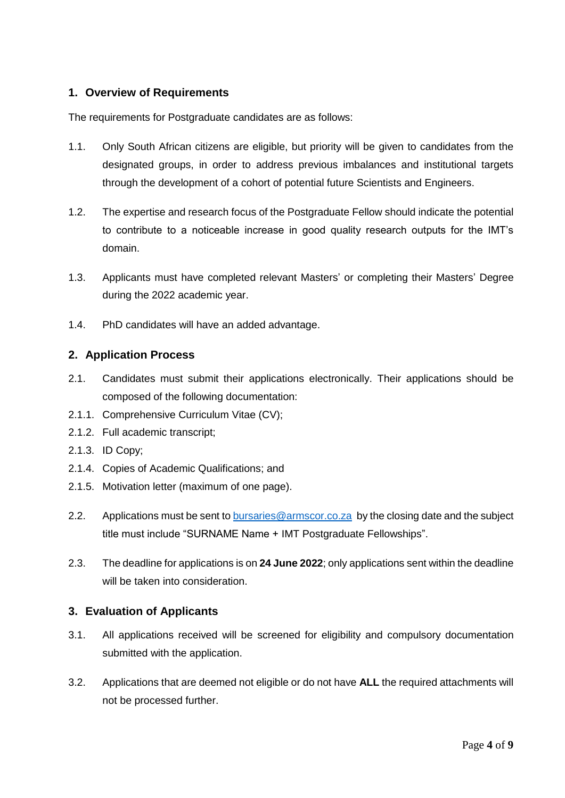#### **1. Overview of Requirements**

The requirements for Postgraduate candidates are as follows:

- 1.1. Only South African citizens are eligible, but priority will be given to candidates from the designated groups, in order to address previous imbalances and institutional targets through the development of a cohort of potential future Scientists and Engineers.
- 1.2. The expertise and research focus of the Postgraduate Fellow should indicate the potential to contribute to a noticeable increase in good quality research outputs for the IMT's domain.
- 1.3. Applicants must have completed relevant Masters' or completing their Masters' Degree during the 2022 academic year.
- 1.4. PhD candidates will have an added advantage.

#### **2. Application Process**

- 2.1. Candidates must submit their applications electronically. Their applications should be composed of the following documentation:
- 2.1.1. Comprehensive Curriculum Vitae (CV);
- 2.1.2. Full academic transcript;
- 2.1.3. ID Copy;
- 2.1.4. Copies of Academic Qualifications; and
- 2.1.5. Motivation letter (maximum of one page).
- 2.2. Applications must be sent t[o bursaries@armscor.co.za](mailto:bursaries@armscor.co.za) by the closing date and the subject title must include "SURNAME Name + IMT Postgraduate Fellowships".
- 2.3. The deadline for applications is on **24 June 2022**; only applications sent within the deadline will be taken into consideration.

#### **3. Evaluation of Applicants**

- 3.1. All applications received will be screened for eligibility and compulsory documentation submitted with the application.
- 3.2. Applications that are deemed not eligible or do not have **ALL** the required attachments will not be processed further.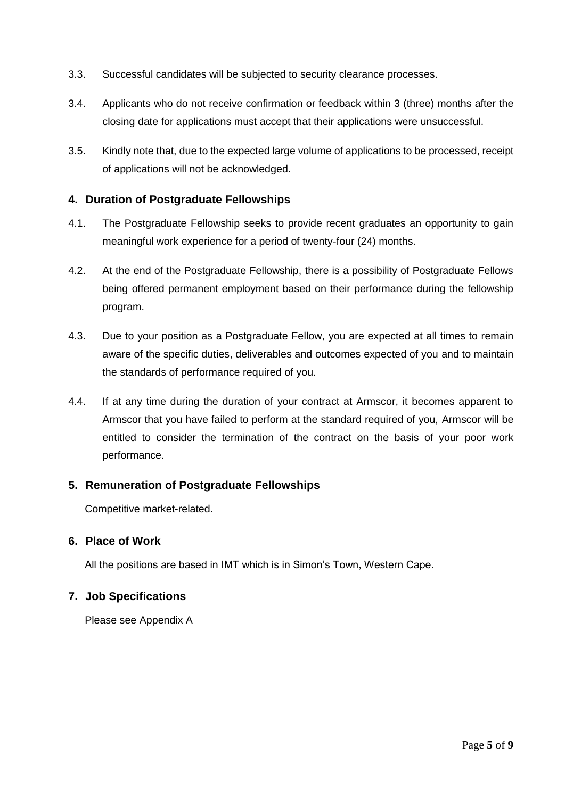- 3.3. Successful candidates will be subjected to security clearance processes.
- 3.4. Applicants who do not receive confirmation or feedback within 3 (three) months after the closing date for applications must accept that their applications were unsuccessful.
- 3.5. Kindly note that, due to the expected large volume of applications to be processed, receipt of applications will not be acknowledged.

#### **4. Duration of Postgraduate Fellowships**

- 4.1. The Postgraduate Fellowship seeks to provide recent graduates an opportunity to gain meaningful work experience for a period of twenty-four (24) months.
- 4.2. At the end of the Postgraduate Fellowship, there is a possibility of Postgraduate Fellows being offered permanent employment based on their performance during the fellowship program.
- 4.3. Due to your position as a Postgraduate Fellow, you are expected at all times to remain aware of the specific duties, deliverables and outcomes expected of you and to maintain the standards of performance required of you.
- 4.4. If at any time during the duration of your contract at Armscor, it becomes apparent to Armscor that you have failed to perform at the standard required of you, Armscor will be entitled to consider the termination of the contract on the basis of your poor work performance.

#### **5. Remuneration of Postgraduate Fellowships**

Competitive market-related.

#### **6. Place of Work**

All the positions are based in IMT which is in Simon's Town, Western Cape.

#### **7. Job Specifications**

Please see Appendix A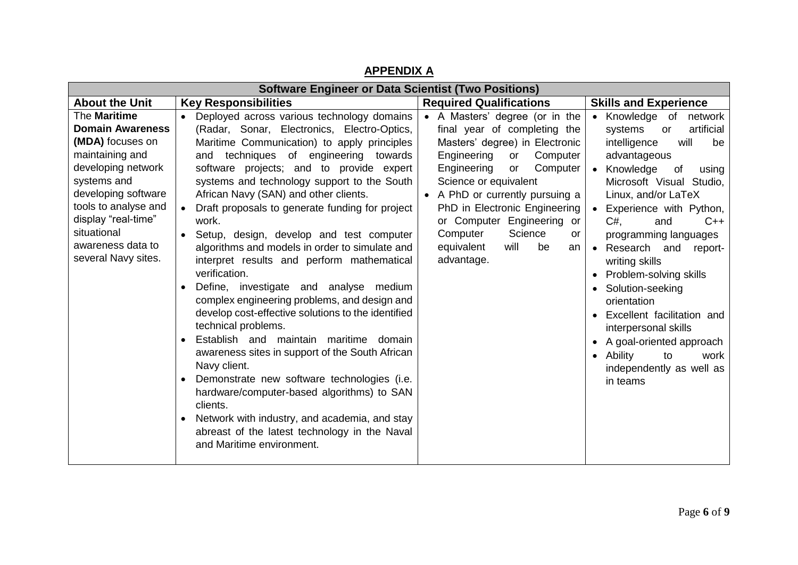| <b>Software Engineer or Data Scientist (Two Positions)</b>                                                                                                                                                                                           |                                                                                                                                                                                                                                                                                                                                                                                                                                                                                                                                                                                                                                                                                                                                                                                                                                                                                                                                                                                                                                                                               |                                                                                                                                                                                                                                                                                                                                                                          |                                                                                                                                                                                                                                                                                                                                                                                                                                                                                                                                                                                                           |
|------------------------------------------------------------------------------------------------------------------------------------------------------------------------------------------------------------------------------------------------------|-------------------------------------------------------------------------------------------------------------------------------------------------------------------------------------------------------------------------------------------------------------------------------------------------------------------------------------------------------------------------------------------------------------------------------------------------------------------------------------------------------------------------------------------------------------------------------------------------------------------------------------------------------------------------------------------------------------------------------------------------------------------------------------------------------------------------------------------------------------------------------------------------------------------------------------------------------------------------------------------------------------------------------------------------------------------------------|--------------------------------------------------------------------------------------------------------------------------------------------------------------------------------------------------------------------------------------------------------------------------------------------------------------------------------------------------------------------------|-----------------------------------------------------------------------------------------------------------------------------------------------------------------------------------------------------------------------------------------------------------------------------------------------------------------------------------------------------------------------------------------------------------------------------------------------------------------------------------------------------------------------------------------------------------------------------------------------------------|
| <b>About the Unit</b>                                                                                                                                                                                                                                | <b>Key Responsibilities</b>                                                                                                                                                                                                                                                                                                                                                                                                                                                                                                                                                                                                                                                                                                                                                                                                                                                                                                                                                                                                                                                   | <b>Required Qualifications</b>                                                                                                                                                                                                                                                                                                                                           | <b>Skills and Experience</b>                                                                                                                                                                                                                                                                                                                                                                                                                                                                                                                                                                              |
| The Maritime<br><b>Domain Awareness</b><br>(MDA) focuses on<br>maintaining and<br>developing network<br>systems and<br>developing software<br>tools to analyse and<br>display "real-time"<br>situational<br>awareness data to<br>several Navy sites. | Deployed across various technology domains<br>(Radar, Sonar, Electronics, Electro-Optics,<br>Maritime Communication) to apply principles<br>techniques of engineering towards<br>and<br>software projects; and to provide expert<br>systems and technology support to the South<br>African Navy (SAN) and other clients.<br>Draft proposals to generate funding for project<br>work.<br>Setup, design, develop and test computer<br>algorithms and models in order to simulate and<br>interpret results and perform mathematical<br>verification.<br>Define, investigate and analyse medium<br>complex engineering problems, and design and<br>develop cost-effective solutions to the identified<br>technical problems.<br>Establish and maintain maritime domain<br>awareness sites in support of the South African<br>Navy client.<br>Demonstrate new software technologies (i.e.<br>hardware/computer-based algorithms) to SAN<br>clients.<br>Network with industry, and academia, and stay<br>abreast of the latest technology in the Naval<br>and Maritime environment. | • A Masters' degree (or in the<br>final year of completing the<br>Masters' degree) in Electronic<br>Engineering<br>Computer<br>or<br>Computer<br>Engineering<br>or<br>Science or equivalent<br>A PhD or currently pursuing a<br>PhD in Electronic Engineering<br>or Computer Engineering or<br>Computer<br>Science<br>or<br>equivalent<br>will<br>be<br>an<br>advantage. | Knowledge of<br>network<br>$\bullet$<br>artificial<br>systems<br>or<br>intelligence<br>will<br>be<br>advantageous<br>Knowledge<br>of<br>$\bullet$<br>using<br>Microsoft Visual Studio,<br>Linux, and/or LaTeX<br>Experience with Python,<br>$\bullet$<br>C#.<br>$C++$<br>and<br>programming languages<br>Research and<br>$\bullet$<br>report-<br>writing skills<br>Problem-solving skills<br>Solution-seeking<br>$\bullet$<br>orientation<br>Excellent facilitation and<br>interpersonal skills<br>A goal-oriented approach<br>Ability<br>to<br>work<br>$\bullet$<br>independently as well as<br>in teams |

### **APPENDIX A**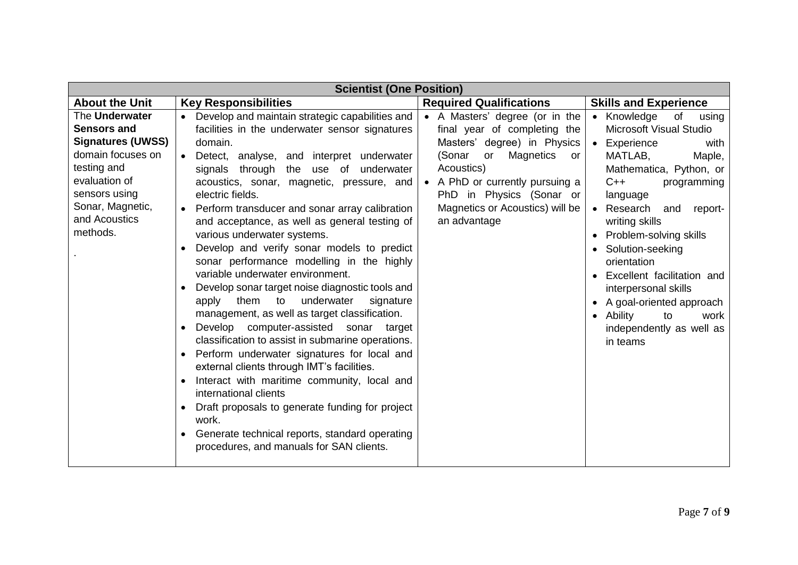| <b>Scientist (One Position)</b>                                                                                                                                                         |                                                                                                                                                                                                                                                                                                                                                                                                                                                                                                                                                                                                                                                                                                                                                                                                                                                                                                                                                                                                                                                                                                                          |                                                                                                                                                                                                                                                                  |                                                                                                                                                                                                                                                                                                                                                                                                                                                                             |
|-----------------------------------------------------------------------------------------------------------------------------------------------------------------------------------------|--------------------------------------------------------------------------------------------------------------------------------------------------------------------------------------------------------------------------------------------------------------------------------------------------------------------------------------------------------------------------------------------------------------------------------------------------------------------------------------------------------------------------------------------------------------------------------------------------------------------------------------------------------------------------------------------------------------------------------------------------------------------------------------------------------------------------------------------------------------------------------------------------------------------------------------------------------------------------------------------------------------------------------------------------------------------------------------------------------------------------|------------------------------------------------------------------------------------------------------------------------------------------------------------------------------------------------------------------------------------------------------------------|-----------------------------------------------------------------------------------------------------------------------------------------------------------------------------------------------------------------------------------------------------------------------------------------------------------------------------------------------------------------------------------------------------------------------------------------------------------------------------|
| <b>About the Unit</b>                                                                                                                                                                   | <b>Key Responsibilities</b>                                                                                                                                                                                                                                                                                                                                                                                                                                                                                                                                                                                                                                                                                                                                                                                                                                                                                                                                                                                                                                                                                              | <b>Required Qualifications</b>                                                                                                                                                                                                                                   | <b>Skills and Experience</b>                                                                                                                                                                                                                                                                                                                                                                                                                                                |
| The Underwater<br><b>Sensors and</b><br><b>Signatures (UWSS)</b><br>domain focuses on<br>testing and<br>evaluation of<br>sensors using<br>Sonar, Magnetic,<br>and Acoustics<br>methods. | Develop and maintain strategic capabilities and<br>facilities in the underwater sensor signatures<br>domain.<br>Detect, analyse, and interpret underwater<br>signals through<br>the<br>of underwater<br>use<br>acoustics, sonar, magnetic, pressure, and<br>electric fields.<br>Perform transducer and sonar array calibration<br>and acceptance, as well as general testing of<br>various underwater systems.<br>Develop and verify sonar models to predict<br>sonar performance modelling in the highly<br>variable underwater environment.<br>Develop sonar target noise diagnostic tools and<br>apply them to underwater<br>signature<br>management, as well as target classification.<br>Develop computer-assisted sonar target<br>classification to assist in submarine operations.<br>Perform underwater signatures for local and<br>external clients through IMT's facilities.<br>Interact with maritime community, local and<br>international clients<br>Draft proposals to generate funding for project<br>work.<br>Generate technical reports, standard operating<br>procedures, and manuals for SAN clients. | • A Masters' degree (or in the<br>final year of completing the<br>Masters' degree) in Physics<br>Magnetics<br>(Sonar<br>or<br>or<br>Acoustics)<br>• A PhD or currently pursuing a<br>PhD in Physics (Sonar or<br>Magnetics or Acoustics) will be<br>an advantage | Knowledge<br>of<br>using<br>$\bullet$<br><b>Microsoft Visual Studio</b><br>Experience<br>$\bullet$<br>with<br>MATLAB,<br>Maple,<br>Mathematica, Python, or<br>$C++$<br>programming<br>language<br>Research<br>and<br>report-<br>writing skills<br>Problem-solving skills<br>Solution-seeking<br>orientation<br>Excellent facilitation and<br>interpersonal skills<br>A goal-oriented approach<br>Ability<br>to<br>work<br>$\bullet$<br>independently as well as<br>in teams |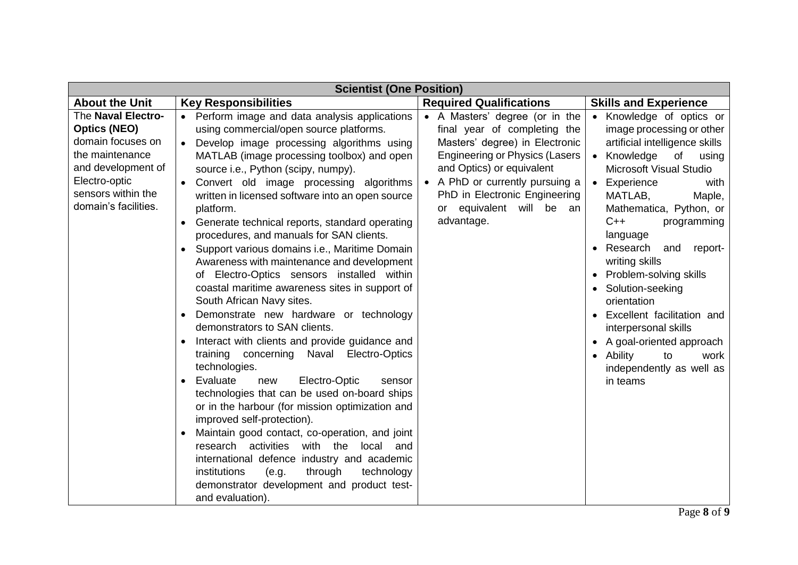| <b>Scientist (One Position)</b>                                                                                                                                        |                                                                                                                                                                                                                                                                                                                                                                                                                                                                                                                                                                                                                                                                                                                                                                                                                                                                                                                                                                                                                                                                                                                                                                                                                                                                                                                                     |                                                                                                                                                                                                                                                                                         |                                                                                                                                                                                                                                                                                                                                                                                                                                                                                                                                            |  |
|------------------------------------------------------------------------------------------------------------------------------------------------------------------------|-------------------------------------------------------------------------------------------------------------------------------------------------------------------------------------------------------------------------------------------------------------------------------------------------------------------------------------------------------------------------------------------------------------------------------------------------------------------------------------------------------------------------------------------------------------------------------------------------------------------------------------------------------------------------------------------------------------------------------------------------------------------------------------------------------------------------------------------------------------------------------------------------------------------------------------------------------------------------------------------------------------------------------------------------------------------------------------------------------------------------------------------------------------------------------------------------------------------------------------------------------------------------------------------------------------------------------------|-----------------------------------------------------------------------------------------------------------------------------------------------------------------------------------------------------------------------------------------------------------------------------------------|--------------------------------------------------------------------------------------------------------------------------------------------------------------------------------------------------------------------------------------------------------------------------------------------------------------------------------------------------------------------------------------------------------------------------------------------------------------------------------------------------------------------------------------------|--|
| <b>About the Unit</b>                                                                                                                                                  | <b>Key Responsibilities</b>                                                                                                                                                                                                                                                                                                                                                                                                                                                                                                                                                                                                                                                                                                                                                                                                                                                                                                                                                                                                                                                                                                                                                                                                                                                                                                         | <b>Required Qualifications</b>                                                                                                                                                                                                                                                          | <b>Skills and Experience</b>                                                                                                                                                                                                                                                                                                                                                                                                                                                                                                               |  |
| The Naval Electro-<br><b>Optics (NEO)</b><br>domain focuses on<br>the maintenance<br>and development of<br>Electro-optic<br>sensors within the<br>domain's facilities. | Perform image and data analysis applications<br>$\bullet$<br>using commercial/open source platforms.<br>Develop image processing algorithms using<br>MATLAB (image processing toolbox) and open<br>source i.e., Python (scipy, numpy).<br>Convert old image processing algorithms<br>written in licensed software into an open source<br>platform.<br>Generate technical reports, standard operating<br>procedures, and manuals for SAN clients.<br>Support various domains i.e., Maritime Domain<br>Awareness with maintenance and development<br>Electro-Optics sensors installed within<br>of<br>coastal maritime awareness sites in support of<br>South African Navy sites.<br>Demonstrate new hardware or technology<br>demonstrators to SAN clients.<br>Interact with clients and provide guidance and<br>concerning Naval Electro-Optics<br>training<br>technologies.<br>Evaluate<br>Electro-Optic<br>new<br>sensor<br>technologies that can be used on-board ships<br>or in the harbour (for mission optimization and<br>improved self-protection).<br>Maintain good contact, co-operation, and joint<br>research activities<br>with the<br>local<br>and<br>international defence industry and academic<br>institutions<br>through<br>technology<br>(e.g.<br>demonstrator development and product test-<br>and evaluation). | • A Masters' degree (or in the<br>final year of completing the<br>Masters' degree) in Electronic<br><b>Engineering or Physics (Lasers</b><br>and Optics) or equivalent<br>• A PhD or currently pursuing a<br>PhD in Electronic Engineering<br>or equivalent will be<br>an<br>advantage. | Knowledge of optics or<br>image processing or other<br>artificial intelligence skills<br>Knowledge<br>of<br>using<br><b>Microsoft Visual Studio</b><br>Experience<br>with<br>MATLAB,<br>Maple,<br>Mathematica, Python, or<br>$C++$<br>programming<br>language<br>Research<br>and<br>report-<br>writing skills<br>Problem-solving skills<br>Solution-seeking<br>orientation<br>Excellent facilitation and<br>interpersonal skills<br>A goal-oriented approach<br>Ability<br>to<br>work<br>$\bullet$<br>independently as well as<br>in teams |  |